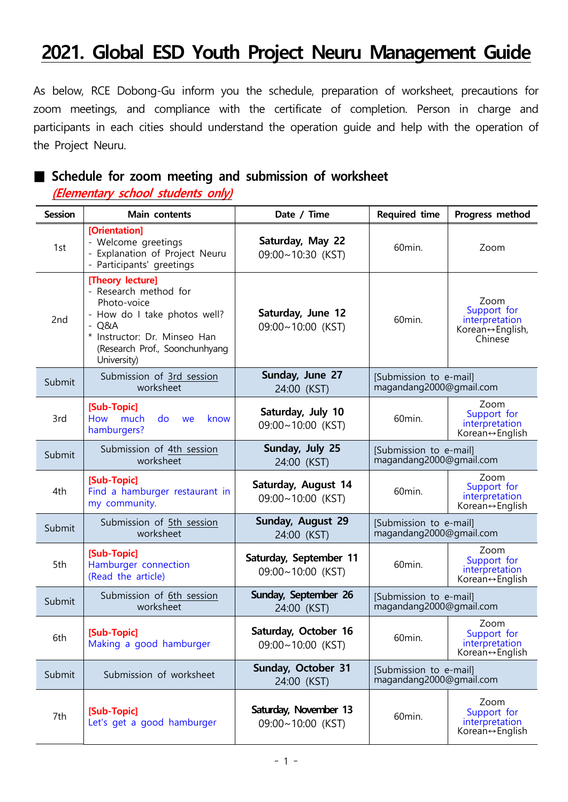# **2021. Global ESD Youth Project Neuru Management Guide**

As below, RCE Dobong-Gu inform you the schedule, preparation of worksheet, precautions for zoom meetings, and compliance with the certificate of completion. Person in charge and participants in each cities should understand the operation guide and help with the operation of the Project Neuru.

#### **■ Schedule for zoom meeting and submission of worksheet**

 **(Elementary school students only)**

| <b>Session</b> | Main contents                                                                                                                                                                    | Date / Time                                      | <b>Required time</b>                              | Progress method                                                           |  |
|----------------|----------------------------------------------------------------------------------------------------------------------------------------------------------------------------------|--------------------------------------------------|---------------------------------------------------|---------------------------------------------------------------------------|--|
| 1st            | [Orientation]<br>- Welcome greetings<br>Explanation of Project Neuru<br>- Participants' greetings                                                                                | Saturday, May 22<br>09:00~10:30 (KST)            | 60min.<br>Zoom                                    |                                                                           |  |
| 2nd            | [Theory lecture]<br>- Research method for<br>Photo-voice<br>- How do I take photos well?<br>Q&A<br>* Instructor: Dr. Minseo Han<br>(Research Prof., Soonchunhyang<br>University) | Saturday, June 12<br>09:00~10:00 (KST)           | 60min.                                            | Zoom<br>Support for<br>interpretation<br>Korean↔ English,<br>Chinese      |  |
| Submit         | Submission of 3rd session<br>worksheet                                                                                                                                           | Sunday, June 27<br>24:00 (KST)                   | [Submission to e-mail]<br>magandang2000@gmail.com |                                                                           |  |
| 3rd            | [Sub-Topic]<br>How much<br>do<br>know<br>we<br>hamburgers?                                                                                                                       | Saturday, July 10<br>60min.<br>09:00~10:00 (KST) |                                                   | Zoom<br>Support for<br>interpretation<br>Korean↔English                   |  |
| Submit         | Submission of 4th session<br>worksheet                                                                                                                                           | Sunday, July 25<br>24:00 (KST)                   | [Submission to e-mail]<br>magandang2000@gmail.com |                                                                           |  |
| 4th            | [Sub-Topic]<br>Find a hamburger restaurant in<br>my community.                                                                                                                   | Saturday, August 14<br>09:00~10:00 (KST)         | 60min.                                            | Zoom<br>Support for<br>interpretation<br>Korean↔English                   |  |
| Submit         | Submission of 5th session<br>worksheet                                                                                                                                           | Sunday, August 29<br>24:00 (KST)                 | [Submission to e-mail]<br>magandang2000@gmail.com |                                                                           |  |
| 5th            | [Sub-Topic]<br>Hamburger connection<br>(Read the article)                                                                                                                        | Saturday, September 11<br>09:00~10:00 (KST)      | 60min.                                            | Zoom<br>Support for<br>interpretation<br>Korean↔English                   |  |
| Submit         | Submission of 6th session<br>worksheet                                                                                                                                           | Sunday, September 26<br>24:00 (KST)              | [Submission to e-mail]<br>magandang2000@gmail.com |                                                                           |  |
| 6th            | [Sub-Topic]<br>Making a good hamburger                                                                                                                                           | Saturday, October 16<br>09:00~10:00 (KST)        | 60min.                                            | Zoom<br>Support for<br>interpretation<br>Korean $\leftrightarrow$ English |  |
| Submit         | Submission of worksheet                                                                                                                                                          | Sunday, October 31<br>24:00 (KST)                | [Submission to e-mail]<br>magandang2000@gmail.com |                                                                           |  |
| 7th            | [Sub-Topic]<br>Let's get a good hamburger                                                                                                                                        | Saturday, November 13<br>09:00~10:00 (KST)       | 60min.                                            | Zoom<br>Support for<br>interpretation<br>Korean $\leftrightarrow$ English |  |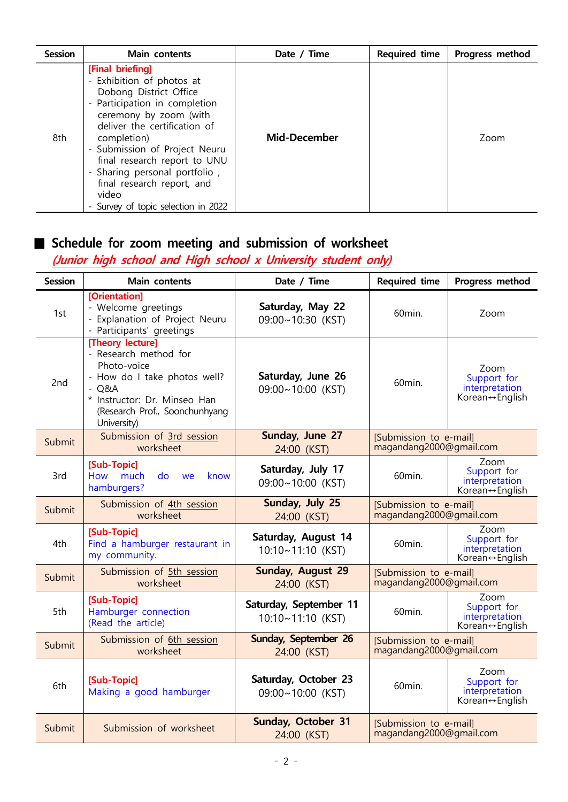| <b>Session</b> | Main contents                                                                                                                                                                                                                                                                                                                                                     | Date / Time         | <b>Required time</b> | Progress method |
|----------------|-------------------------------------------------------------------------------------------------------------------------------------------------------------------------------------------------------------------------------------------------------------------------------------------------------------------------------------------------------------------|---------------------|----------------------|-----------------|
| 8th            | [Final briefing]<br>- Exhibition of photos at<br>Dobong District Office<br>- Participation in completion<br>ceremony by zoom (with<br>deliver the certification of<br>completion)<br>- Submission of Project Neuru<br>final research report to UNU<br>- Sharing personal portfolio,<br>final research report, and<br>video<br>- Survey of topic selection in 2022 | <b>Mid-December</b> |                      | Zoom            |

## **■ Schedule for zoom meeting and submission of worksheet**

## **(Junior high school and High school x University student only)**

| <b>Session</b> | Main contents                                                                                                                                                                       | Date / Time                                 | <b>Required time</b>                              | Progress method                                                           |
|----------------|-------------------------------------------------------------------------------------------------------------------------------------------------------------------------------------|---------------------------------------------|---------------------------------------------------|---------------------------------------------------------------------------|
| 1st            | [Orientation]<br>- Welcome greetings<br>- Explanation of Project Neuru<br>- Participants' greetings                                                                                 | Saturday, May 22<br>09:00~10:30 (KST)       | 60min.                                            | Zoom                                                                      |
| 2nd            | [Theory lecture]<br>- Research method for<br>Photo-voice<br>- How do I take photos well?<br>$-Q&A$<br>* Instructor: Dr. Minseo Han<br>(Research Prof., Soonchunhyang<br>University) | Saturday, June 26<br>09:00~10:00 (KST)      | 60min.                                            | Zoom<br>Support for<br>interpretation<br>Korean↔English                   |
| Submit         | Submission of 3rd session<br>worksheet                                                                                                                                              | Sunday, June 27<br>24:00 (KST)              | [Submission to e-mail]<br>magandang2000@gmail.com |                                                                           |
| 3rd            | [Sub-Topic]<br>How much<br>do<br>know<br>we<br>hamburgers?                                                                                                                          | Saturday, July 17<br>09:00~10:00 (KST)      | 60 <sub>min.</sub>                                | Zoom<br>Support for<br>interpretation<br>Korean $\leftrightarrow$ English |
| Submit         | Submission of 4th session<br>worksheet                                                                                                                                              | Sunday, July 25<br>24:00 (KST)              | [Submission to e-mail]<br>magandang2000@gmail.com |                                                                           |
| 4th            | [Sub-Topic]<br>Find a hamburger restaurant in<br>my community.                                                                                                                      | Saturday, August 14<br>10:10~11:10 (KST)    | 60 <sub>min.</sub>                                | Zoom<br>Support for<br>interpretation<br>Korean↔English                   |
| Submit         | Submission of 5th session<br>worksheet                                                                                                                                              | Sunday, August 29<br>24:00 (KST)            | [Submission to e-mail]<br>magandang2000@gmail.com |                                                                           |
| 5th            | [Sub-Topic]<br>Hamburger connection<br>(Read the article)                                                                                                                           | Saturday, September 11<br>10:10~11:10 (KST) | 60min.                                            | Zoom<br>Support for<br>interpretation<br>Korean↔English                   |
| Submit         | Submission of 6th session<br>worksheet                                                                                                                                              | Sunday, September 26<br>24:00 (KST)         | [Submission to e-mail]<br>magandang2000@gmail.com |                                                                           |
| 6th            | [Sub-Topic]<br>Making a good hamburger                                                                                                                                              | Saturday, October 23<br>09:00~10:00 (KST)   | 60min.                                            | Zoom<br>Support for<br>interpretation<br>Korean↔English                   |
| Submit         | Submission of worksheet                                                                                                                                                             | Sunday, October 31<br>24:00 (KST)           | [Submission to e-mail]<br>magandang2000@gmail.com |                                                                           |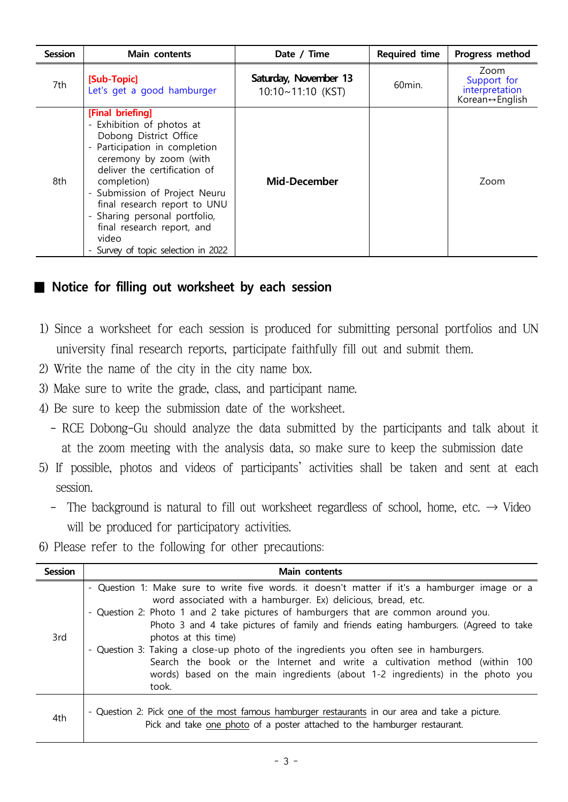| <b>Session</b> | Main contents                                                                                                                                                                                                                                                                                                                                                   | Date / Time                                       | <b>Required time</b> | Progress method                                         |  |
|----------------|-----------------------------------------------------------------------------------------------------------------------------------------------------------------------------------------------------------------------------------------------------------------------------------------------------------------------------------------------------------------|---------------------------------------------------|----------------------|---------------------------------------------------------|--|
| 7th            | [Sub-Topic]<br>Let's get a good hamburger                                                                                                                                                                                                                                                                                                                       | Saturday, November 13<br>$10:10 \sim 11:10$ (KST) | 60min.               | Zoom<br>Support for<br>interpretation<br>Korean↔English |  |
| 8th            | [Final briefing]<br>- Exhibition of photos at<br>Dobong District Office<br>- Participation in completion<br>ceremony by zoom (with<br>deliver the certification of<br>completion)<br>- Submission of Project Neuru<br>final research report to UNU<br>- Sharing personal portfolio,<br>final research report, and<br>video<br>Survey of topic selection in 2022 | <b>Mid-December</b>                               |                      | Zoom                                                    |  |

### ■ Notice for filling out worksheet by each session

- 1) Since a worksheet for each session is produced for submitting personal portfolios and UN university final research reports, participate faithfully fill out and submit them.
- 2) Write the name of the city in the city name box.
- 3) Make sure to write the grade, class, and participant name.
- 
- 4) Be sure to keep the submission date of the worksheet.<br>- RCE Dobong-Gu should analyze the data submitted by the participants and talk about it at the zoom meeting with the analysis data, so make sure to keep the submission date
- 5) If possible, photos and videos of participants' activities shall be taken and sent at each
	- session.<br>- The background is natural to fill out worksheet regardless of school, home, etc.  $\rightarrow$  Video will be produced for participatory activities.
- 6) Please refer to the following for other precautions:

| <b>Session</b> | <b>Main contents</b>                                                                                                                                                                                                                                                                                                                                                                                                                                                                                                                                                                                                                  |  |  |  |  |
|----------------|---------------------------------------------------------------------------------------------------------------------------------------------------------------------------------------------------------------------------------------------------------------------------------------------------------------------------------------------------------------------------------------------------------------------------------------------------------------------------------------------------------------------------------------------------------------------------------------------------------------------------------------|--|--|--|--|
| 3rd            | - Question 1: Make sure to write five words. it doesn't matter if it's a hamburger image or a<br>word associated with a hamburger. Ex) delicious, bread, etc.<br>- Question 2: Photo 1 and 2 take pictures of hamburgers that are common around you.<br>Photo 3 and 4 take pictures of family and friends eating hamburgers. (Agreed to take<br>photos at this time)<br>- Question 3: Taking a close-up photo of the ingredients you often see in hamburgers.<br>Search the book or the Internet and write a cultivation method (within 100<br>words) based on the main ingredients (about 1-2 ingredients) in the photo you<br>took. |  |  |  |  |
| 4th            | - Question 2: Pick one of the most famous hamburger restaurants in our area and take a picture.<br>Pick and take one photo of a poster attached to the hamburger restaurant.                                                                                                                                                                                                                                                                                                                                                                                                                                                          |  |  |  |  |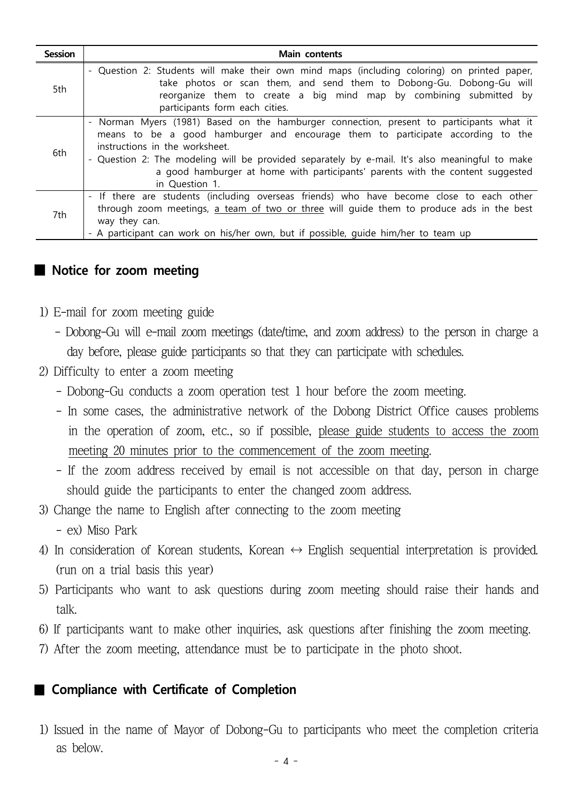| Session | <b>Main contents</b>                                                                                                                                                                                                                                                                                                                                                                                                                          |
|---------|-----------------------------------------------------------------------------------------------------------------------------------------------------------------------------------------------------------------------------------------------------------------------------------------------------------------------------------------------------------------------------------------------------------------------------------------------|
| 5th     | - Question 2: Students will make their own mind maps (including coloring) on printed paper,<br>take photos or scan them, and send them to Dobong-Gu. Dobong-Gu will<br>reorganize them to create a big mind map by combining submitted by<br>participants form each cities.                                                                                                                                                                   |
| 6th     | Norman Myers (1981) Based on the hamburger connection, present to participants what it<br>$\overline{\phantom{a}}$<br>means to be a good hamburger and encourage them to participate according to the<br>instructions in the worksheet.<br>- Question 2: The modeling will be provided separately by e-mail. It's also meaningful to make<br>a good hamburger at home with participants' parents with the content suggested<br>in Question 1. |
| 7th     | - If there are students (including overseas friends) who have become close to each other<br>through zoom meetings, a team of two or three will guide them to produce ads in the best<br>way they can.<br>- A participant can work on his/her own, but if possible, quide him/her to team up                                                                                                                                                   |

#### ■ **Notice for zoom meeting**

- 1) E-mail for zoom meeting guide
	- Dobong-Gu will e-mail zoom meetings (date/time, and zoom address) to the person in charge a day before, please guide participants so that they can participate with schedules.
- 2) Difficulty to enter a zoom meeting
	-
	- Dobong-Gu conducts a zoom operation test 1 hour before the zoom meeting. In some cases, the administrative network of the Dobong District Office causes problems in the operation of zoom, etc., so if possible, please guide students to access the zoom
	- meeting 20 minutes prior to the commencement of the zoom meeting.<br>- If the zoom address received by email is not accessible on that day, person in charge should guide the participants to enter the changed zoom address.
- 3) Change the name to English after connecting to the zoom meeting
	- ex) Miso Park
- 4) In consideration of Korean students, Korean  $\leftrightarrow$  English sequential interpretation is provided. (run on a trial basis this year)
- 5) Participants who want to ask questions during zoom meeting should raise their hands and talk.
- 6) If participants want to make other inquiries, ask questions after finishing the zoom meeting.
- 7) After the zoom meeting, attendance must be to participate in the photo shoot.

#### ■ Compliance with Certificate of Completion

1) Issued in the name of Mayor of Dobong-Gu to participants who meet the completion criteria as below.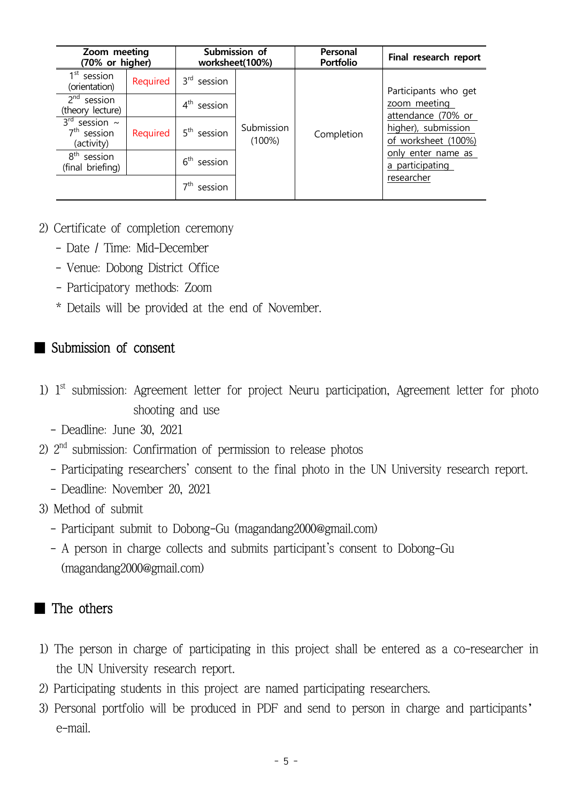| Zoom meeting<br>(70% or higher)                          |          |                         | Submission of<br>worksheet(100%) | Personal<br><b>Portfolio</b> | Final research report                      |
|----------------------------------------------------------|----------|-------------------------|----------------------------------|------------------------------|--------------------------------------------|
| 1 <sup>st</sup> session<br>(orientation)                 | Required | 3 <sup>rd</sup> session |                                  |                              | Participants who get                       |
| $2nd$ session<br>(theory lecture)                        |          | $4th$ session           |                                  |                              | zoom meeting<br>attendance (70% or         |
| $3rd$ session ~<br>7 <sup>th</sup> session<br>(activity) | Required | $5th$ session           | Submission<br>$(100\%)$          | Completion                   | higher), submission<br>of worksheet (100%) |
| $8th$ session<br>(final briefing)                        |          | $6th$ session           |                                  |                              | only enter name as<br>a participating      |
|                                                          |          | –7th<br>session         |                                  |                              | researcher                                 |

#### 2) Certificate of completion ceremony

- 
- Date / Time: Mid-December Venue: Dobong District Office
- Participatory methods: Zoom
- \* Details will be provided at the end of November.

#### ■ Submission of consent

- 1) 1<sup>st</sup> submission: Agreement letter for project Neuru participation, Agreement letter for photo shooting and use
	- Deadline: June 30, 2021
- 2) 2<sup>nd</sup> submission: Confirmation of permission to release photos
	- Participating researchers' consent to the final photo in the UN University research report.<br>- Deadline: November 20, 2021
	-
- 3) Method of submit
	-
	- Participant submit to Dobong-Gu (magandang2000@gmail.com) A person in charge collects and submits participant's consent to Dobong-Gu (magandang2000@gmail.com)

## ■ The others

- 1) The person in charge of participating in this project shall be entered as a co-researcher in the UN University research report.
- 2) Participating students in this project are named participating researchers.
- 3) Personal portfolio will be produced in PDF and send to person in charge and participants' e-mail.